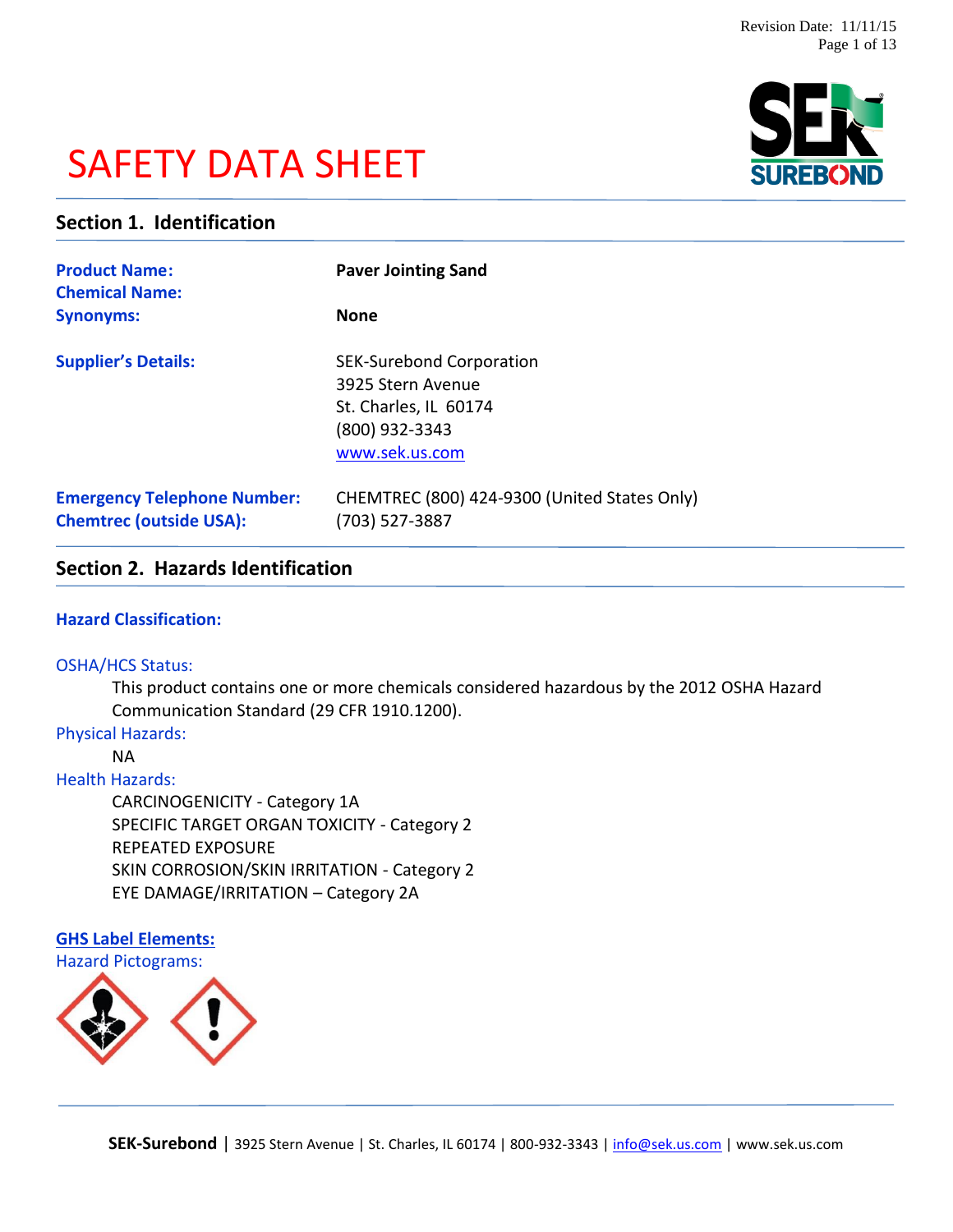# SAFETY DATA SHEET



# **Section 1. Identification**

| <b>Product Name:</b><br><b>Chemical Name:</b>                        | <b>Paver Jointing Sand</b>                                                                                        |  |
|----------------------------------------------------------------------|-------------------------------------------------------------------------------------------------------------------|--|
| <b>Synonyms:</b>                                                     | <b>None</b>                                                                                                       |  |
| <b>Supplier's Details:</b>                                           | <b>SEK-Surebond Corporation</b><br>3925 Stern Avenue<br>St. Charles, IL 60174<br>(800) 932-3343<br>www.sek.us.com |  |
| <b>Emergency Telephone Number:</b><br><b>Chemtrec (outside USA):</b> | CHEMTREC (800) 424-9300 (United States Only)<br>(703) 527-3887                                                    |  |

# **Section 2. Hazards Identification**

# **Hazard Classification:**

#### OSHA/HCS Status:

This product contains one or more chemicals considered hazardous by the 2012 OSHA Hazard Communication Standard (29 CFR 1910.1200).

### Physical Hazards:

NA

#### Health Hazards:

CARCINOGENICITY - Category 1A SPECIFIC TARGET ORGAN TOXICITY - Category 2 REPEATED EXPOSURE SKIN CORROSION/SKIN IRRITATION - Category 2 EYE DAMAGE/IRRITATION – Category 2A

# **GHS Label Elements:** Hazard Pictograms:

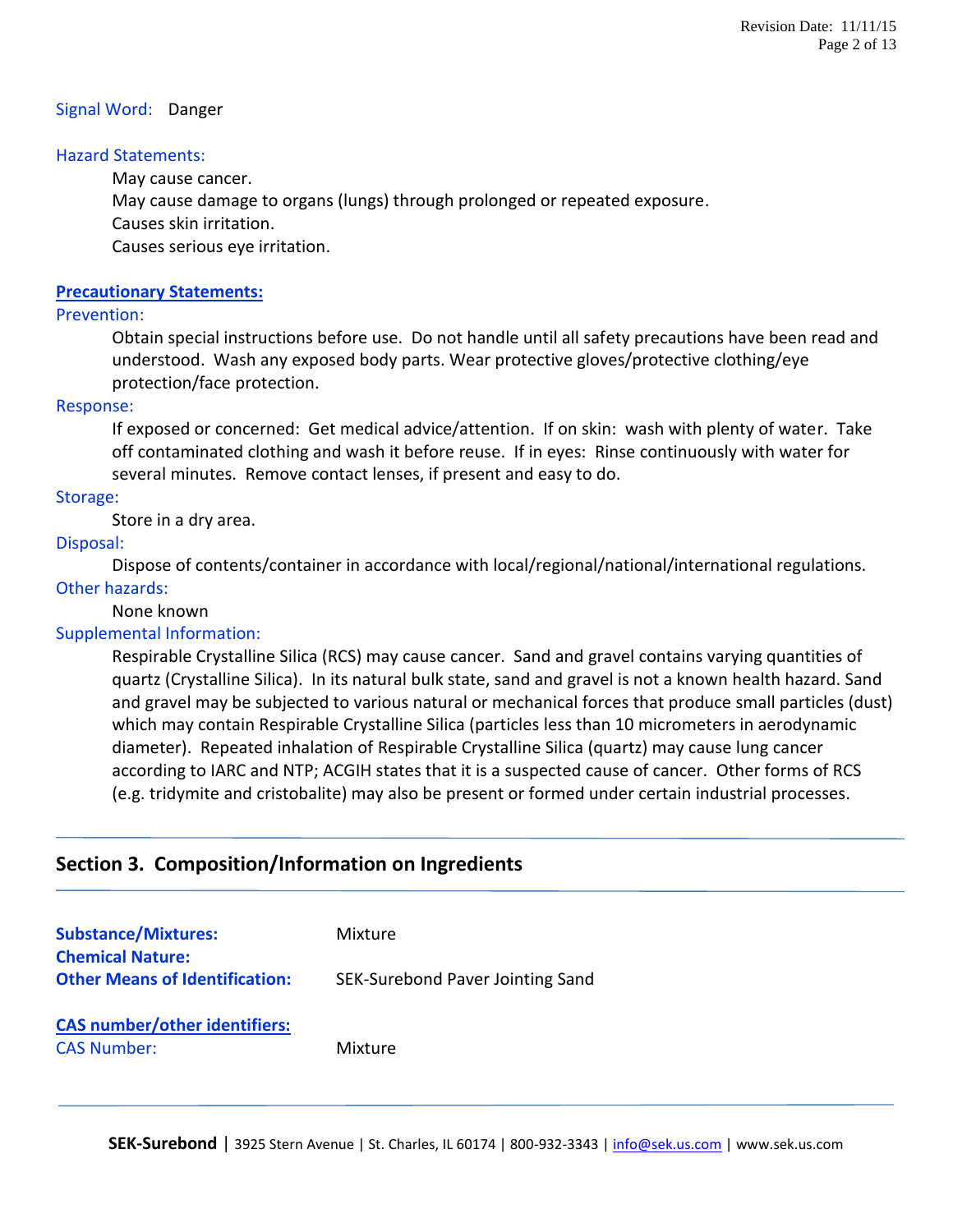#### Signal Word: Danger

#### Hazard Statements:

May cause cancer.

May cause damage to organs (lungs) through prolonged or repeated exposure.

Causes skin irritation.

Causes serious eye irritation.

### **Precautionary Statements:**

#### Prevention:

Obtain special instructions before use. Do not handle until all safety precautions have been read and understood. Wash any exposed body parts. Wear protective gloves/protective clothing/eye protection/face protection.

#### Response:

If exposed or concerned: Get medical advice/attention. If on skin: wash with plenty of water. Take off contaminated clothing and wash it before reuse. If in eyes: Rinse continuously with water for several minutes. Remove contact lenses, if present and easy to do.

#### Storage:

Store in a dry area.

#### Disposal:

Dispose of contents/container in accordance with local/regional/national/international regulations. Other hazards:

#### None known

# Supplemental Information:

Respirable Crystalline Silica (RCS) may cause cancer. Sand and gravel contains varying quantities of quartz (Crystalline Silica). In its natural bulk state, sand and gravel is not a known health hazard. Sand and gravel may be subjected to various natural or mechanical forces that produce small particles (dust) which may contain Respirable Crystalline Silica (particles less than 10 micrometers in aerodynamic diameter). Repeated inhalation of Respirable Crystalline Silica (quartz) may cause lung cancer according to IARC and NTP; ACGIH states that it is a suspected cause of cancer. Other forms of RCS (e.g. tridymite and cristobalite) may also be present or formed under certain industrial processes.

# **Section 3. Composition/Information on Ingredients**

| <b>Substance/Mixtures:</b><br><b>Chemical Nature:</b>      | Mixture                          |
|------------------------------------------------------------|----------------------------------|
| <b>Other Means of Identification:</b>                      | SEK-Surebond Paver Jointing Sand |
| <b>CAS number/other identifiers:</b><br><b>CAS Number:</b> | Mixture                          |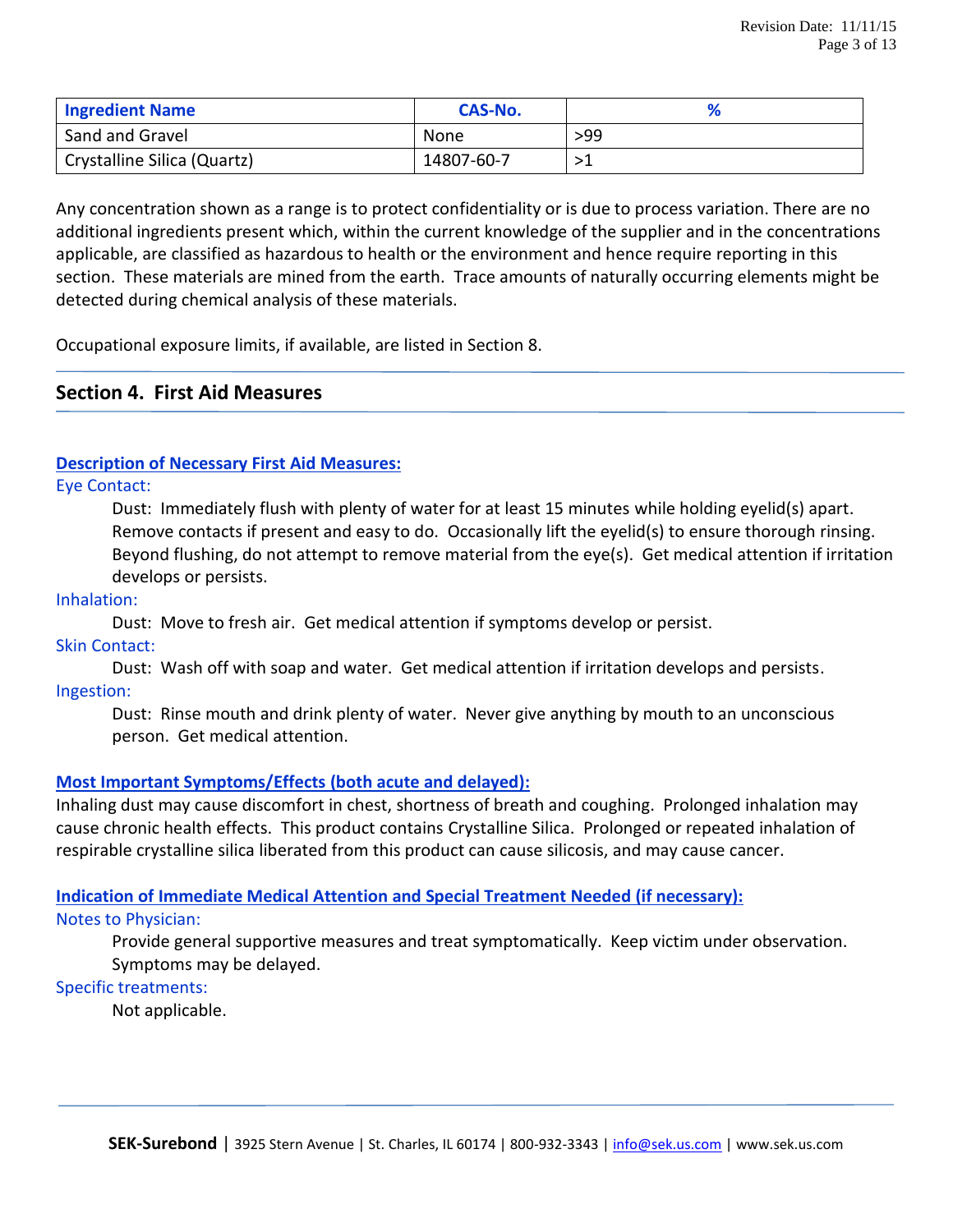| <b>Ingredient Name</b>      | CAS-No.    |     |
|-----------------------------|------------|-----|
| Sand and Gravel             | None       | >99 |
| Crystalline Silica (Quartz) | 14807-60-7 |     |

Any concentration shown as a range is to protect confidentiality or is due to process variation. There are no additional ingredients present which, within the current knowledge of the supplier and in the concentrations applicable, are classified as hazardous to health or the environment and hence require reporting in this section. These materials are mined from the earth. Trace amounts of naturally occurring elements might be detected during chemical analysis of these materials.

Occupational exposure limits, if available, are listed in Section 8.

# **Section 4. First Aid Measures**

# **Description of Necessary First Aid Measures:**

Eye Contact:

Dust: Immediately flush with plenty of water for at least 15 minutes while holding eyelid(s) apart. Remove contacts if present and easy to do. Occasionally lift the eyelid(s) to ensure thorough rinsing. Beyond flushing, do not attempt to remove material from the eye(s). Get medical attention if irritation develops or persists.

#### Inhalation:

Dust: Move to fresh air. Get medical attention if symptoms develop or persist.

#### Skin Contact:

Dust: Wash off with soap and water. Get medical attention if irritation develops and persists. Ingestion:

Dust: Rinse mouth and drink plenty of water. Never give anything by mouth to an unconscious person. Get medical attention.

# **Most Important Symptoms/Effects (both acute and delayed):**

Inhaling dust may cause discomfort in chest, shortness of breath and coughing. Prolonged inhalation may cause chronic health effects. This product contains Crystalline Silica. Prolonged or repeated inhalation of respirable crystalline silica liberated from this product can cause silicosis, and may cause cancer.

# **Indication of Immediate Medical Attention and Special Treatment Needed (if necessary):**

#### Notes to Physician:

Provide general supportive measures and treat symptomatically. Keep victim under observation. Symptoms may be delayed.

# Specific treatments:

Not applicable.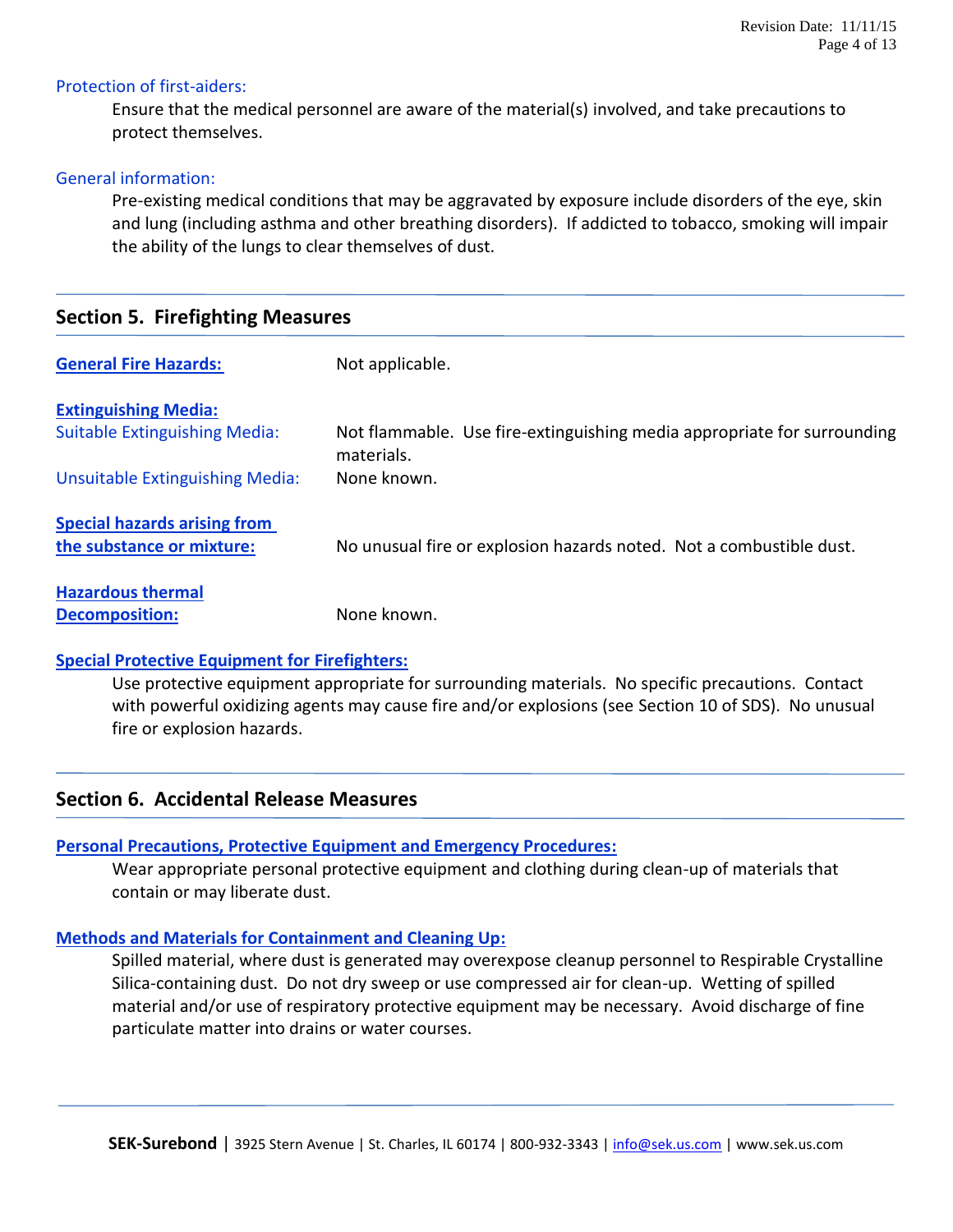#### Protection of first-aiders:

Ensure that the medical personnel are aware of the material(s) involved, and take precautions to protect themselves.

#### General information:

Pre-existing medical conditions that may be aggravated by exposure include disorders of the eye, skin and lung (including asthma and other breathing disorders). If addicted to tobacco, smoking will impair the ability of the lungs to clear themselves of dust.

# **Section 5. Firefighting Measures**

| <b>General Fire Hazards:</b>         | Not applicable.                                                                       |
|--------------------------------------|---------------------------------------------------------------------------------------|
| <b>Extinguishing Media:</b>          |                                                                                       |
| <b>Suitable Extinguishing Media:</b> | Not flammable. Use fire-extinguishing media appropriate for surrounding<br>materials. |
| Unsuitable Extinguishing Media:      | None known.                                                                           |
| <b>Special hazards arising from</b>  |                                                                                       |
| the substance or mixture:            | No unusual fire or explosion hazards noted. Not a combustible dust.                   |
| <b>Hazardous thermal</b>             |                                                                                       |
| <b>Decomposition:</b>                | None known.                                                                           |

#### **Special Protective Equipment for Firefighters:**

Use protective equipment appropriate for surrounding materials. No specific precautions. Contact with powerful oxidizing agents may cause fire and/or explosions (see Section 10 of SDS). No unusual fire or explosion hazards.

# **Section 6. Accidental Release Measures**

#### **Personal Precautions, Protective Equipment and Emergency Procedures:**

Wear appropriate personal protective equipment and clothing during clean-up of materials that contain or may liberate dust.

#### **Methods and Materials for Containment and Cleaning Up:**

Spilled material, where dust is generated may overexpose cleanup personnel to Respirable Crystalline Silica-containing dust. Do not dry sweep or use compressed air for clean-up. Wetting of spilled material and/or use of respiratory protective equipment may be necessary. Avoid discharge of fine particulate matter into drains or water courses.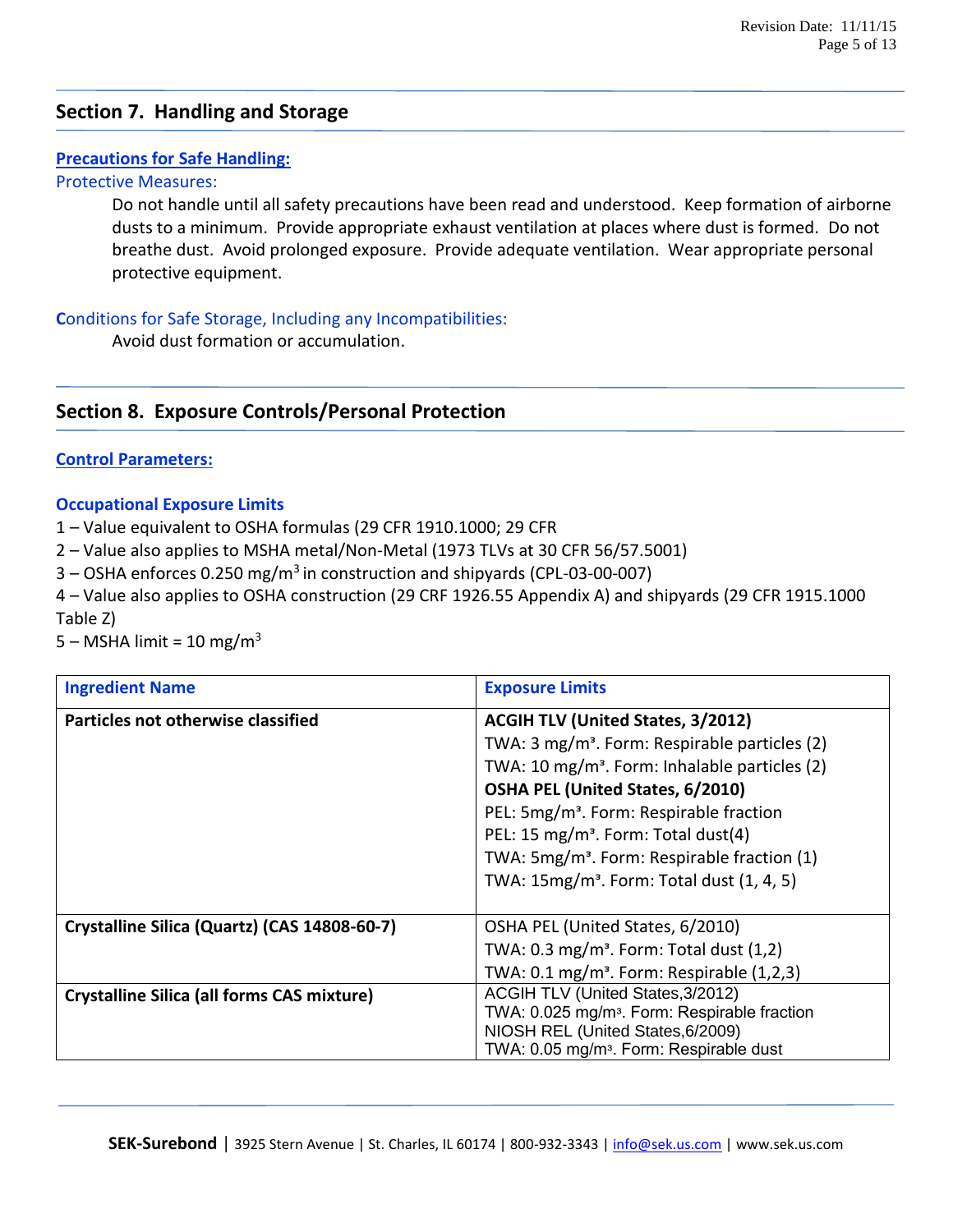# **Section 7. Handling and Storage**

# **Precautions for Safe Handling:**

#### Protective Measures:

Do not handle until all safety precautions have been read and understood. Keep formation of airborne dusts to a minimum. Provide appropriate exhaust ventilation at places where dust is formed. Do not breathe dust. Avoid prolonged exposure. Provide adequate ventilation. Wear appropriate personal protective equipment.

# **C**onditions for Safe Storage, Including any Incompatibilities:

Avoid dust formation or accumulation.

# **Section 8. Exposure Controls/Personal Protection**

#### **Control Parameters:**

#### **Occupational Exposure Limits**

1 – Value equivalent to OSHA formulas (29 CFR 1910.1000; 29 CFR

2 – Value also applies to MSHA metal/Non-Metal (1973 TLVs at 30 CFR 56/57.5001)

3 – OSHA enforces 0.250 mg/m<sup>3</sup> in construction and shipyards (CPL-03-00-007)

4 – Value also applies to OSHA construction (29 CRF 1926.55 Appendix A) and shipyards (29 CFR 1915.1000 Table Z)

 $5 - MSHA$  limit = 10 mg/m<sup>3</sup>

| <b>Ingredient Name</b>                            | <b>Exposure Limits</b>                                    |  |
|---------------------------------------------------|-----------------------------------------------------------|--|
| Particles not otherwise classified                | <b>ACGIH TLV (United States, 3/2012)</b>                  |  |
|                                                   | TWA: 3 mg/m <sup>3</sup> . Form: Respirable particles (2) |  |
|                                                   | TWA: 10 mg/m <sup>3</sup> . Form: Inhalable particles (2) |  |
|                                                   | OSHA PEL (United States, 6/2010)                          |  |
|                                                   | PEL: 5mg/m <sup>3</sup> . Form: Respirable fraction       |  |
|                                                   | PEL: 15 mg/m <sup>3</sup> . Form: Total dust(4)           |  |
|                                                   | TWA: 5mg/m <sup>3</sup> . Form: Respirable fraction (1)   |  |
|                                                   | TWA: 15mg/m <sup>3</sup> . Form: Total dust (1, 4, 5)     |  |
|                                                   |                                                           |  |
| Crystalline Silica (Quartz) (CAS 14808-60-7)      | OSHA PEL (United States, 6/2010)                          |  |
|                                                   | TWA: $0.3 \text{ mg/m}^3$ . Form: Total dust $(1,2)$      |  |
|                                                   | TWA: $0.1 \text{ mg/m}^3$ . Form: Respirable $(1,2,3)$    |  |
| <b>Crystalline Silica (all forms CAS mixture)</b> | ACGIH TLV (United States, 3/2012)                         |  |
|                                                   | TWA: 0.025 mg/m <sup>3</sup> . Form: Respirable fraction  |  |
|                                                   | NIOSH REL (United States, 6/2009)                         |  |
|                                                   | TWA: 0.05 mg/m <sup>3</sup> . Form: Respirable dust       |  |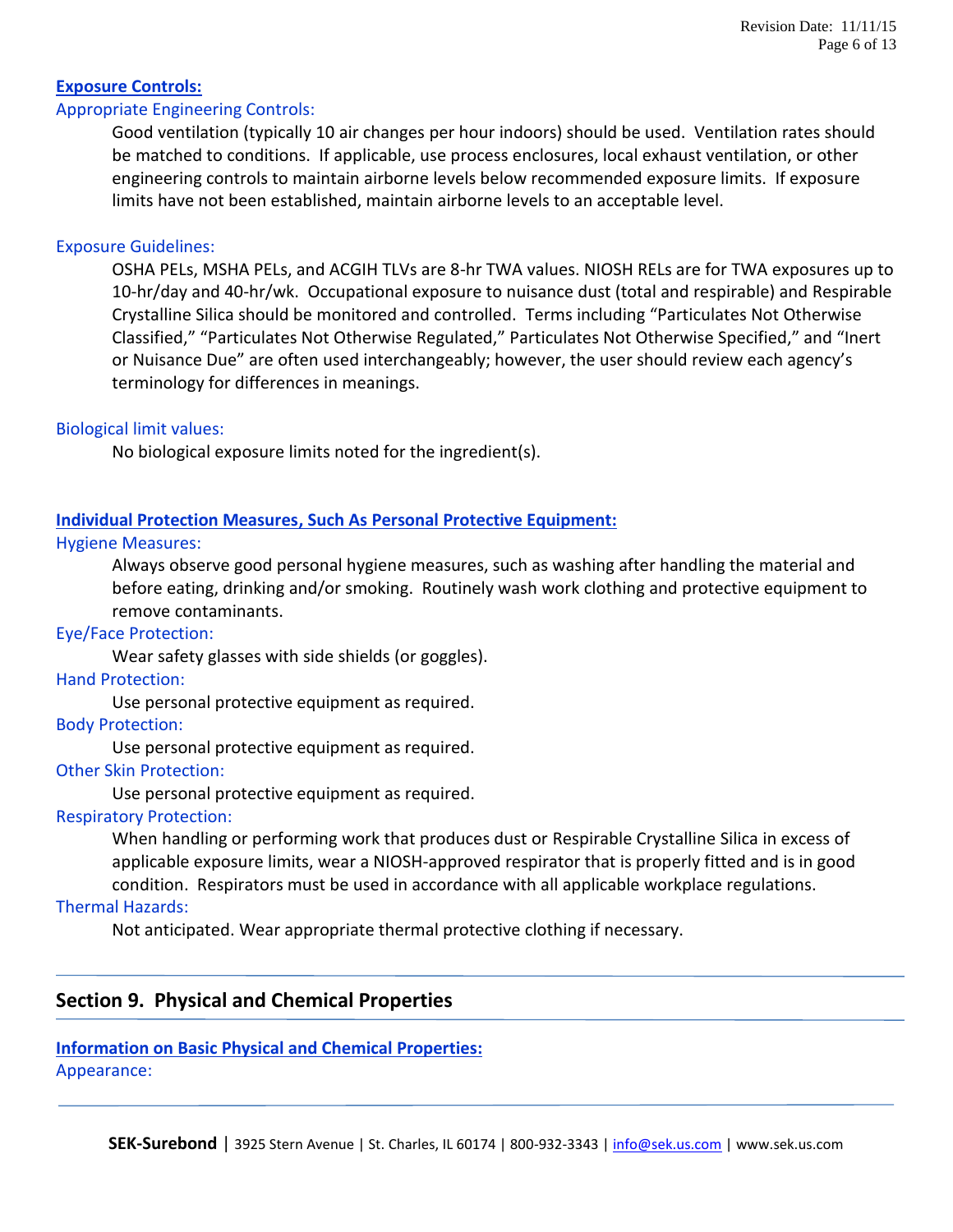# **Exposure Controls:**

#### Appropriate Engineering Controls:

Good ventilation (typically 10 air changes per hour indoors) should be used. Ventilation rates should be matched to conditions. If applicable, use process enclosures, local exhaust ventilation, or other engineering controls to maintain airborne levels below recommended exposure limits. If exposure limits have not been established, maintain airborne levels to an acceptable level.

#### Exposure Guidelines:

OSHA PELs, MSHA PELs, and ACGIH TLVs are 8-hr TWA values. NIOSH RELs are for TWA exposures up to 10-hr/day and 40-hr/wk. Occupational exposure to nuisance dust (total and respirable) and Respirable Crystalline Silica should be monitored and controlled. Terms including "Particulates Not Otherwise Classified," "Particulates Not Otherwise Regulated," Particulates Not Otherwise Specified," and "Inert or Nuisance Due" are often used interchangeably; however, the user should review each agency's terminology for differences in meanings.

#### Biological limit values:

No biological exposure limits noted for the ingredient(s).

#### **Individual Protection Measures, Such As Personal Protective Equipment:**

#### Hygiene Measures:

Always observe good personal hygiene measures, such as washing after handling the material and before eating, drinking and/or smoking. Routinely wash work clothing and protective equipment to remove contaminants.

#### Eye/Face Protection:

Wear safety glasses with side shields (or goggles).

#### Hand Protection:

Use personal protective equipment as required.

#### Body Protection:

Use personal protective equipment as required.

#### Other Skin Protection:

Use personal protective equipment as required.

#### Respiratory Protection:

When handling or performing work that produces dust or Respirable Crystalline Silica in excess of applicable exposure limits, wear a NIOSH-approved respirator that is properly fitted and is in good condition. Respirators must be used in accordance with all applicable workplace regulations.

#### Thermal Hazards:

Not anticipated. Wear appropriate thermal protective clothing if necessary.

# **Section 9. Physical and Chemical Properties**

# **Information on Basic Physical and Chemical Properties:**

Appearance: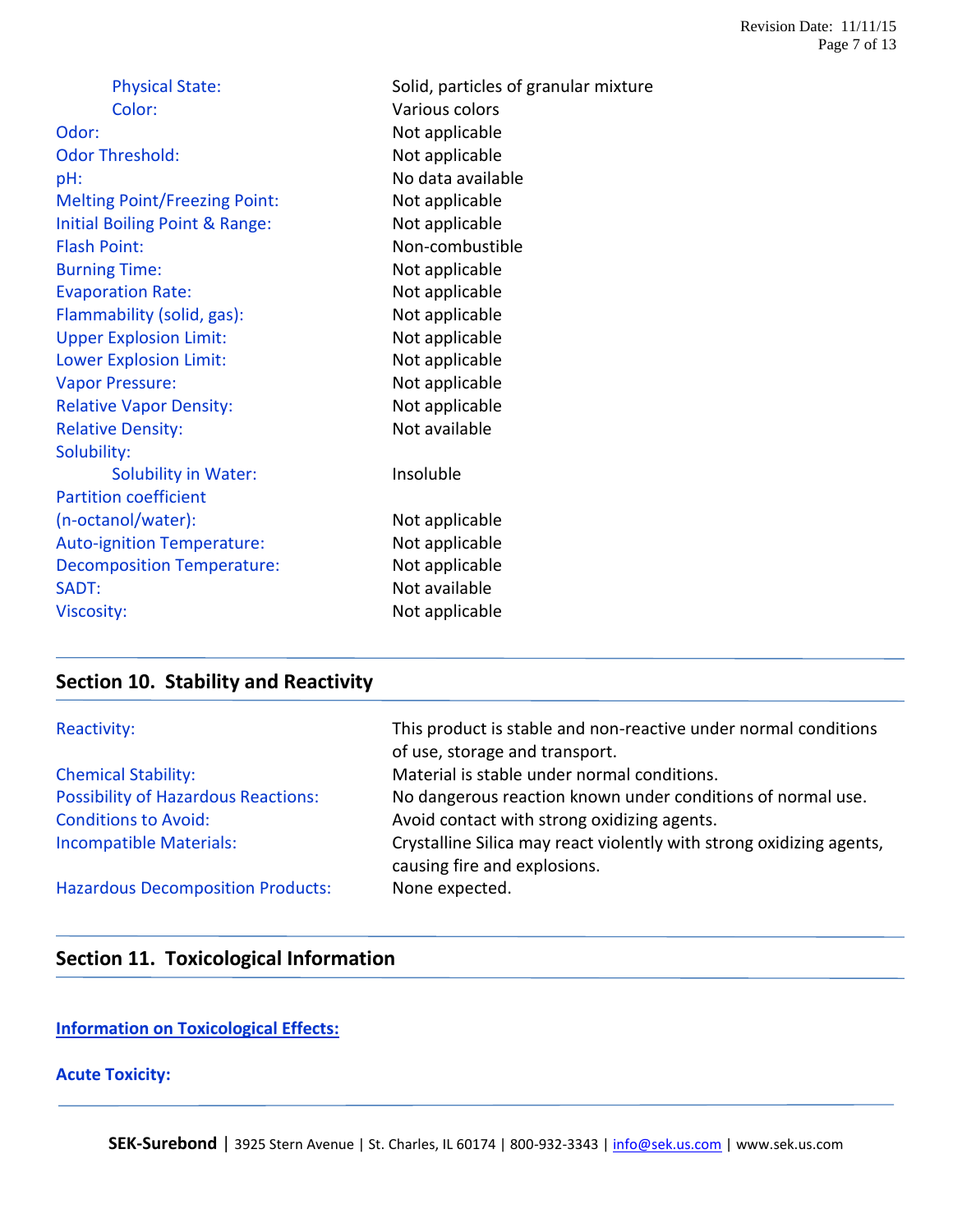| Color:<br>Various colors<br>Not applicable<br>Odor:<br><b>Odor Threshold:</b><br>Not applicable<br>No data available<br>pH:<br><b>Melting Point/Freezing Point:</b><br>Not applicable<br>Initial Boiling Point & Range:<br>Not applicable<br><b>Flash Point:</b><br>Non-combustible<br>Not applicable<br><b>Burning Time:</b><br><b>Evaporation Rate:</b><br>Not applicable<br>Flammability (solid, gas):<br>Not applicable<br><b>Upper Explosion Limit:</b><br>Not applicable<br><b>Lower Explosion Limit:</b><br>Not applicable<br>Not applicable<br><b>Vapor Pressure:</b><br>Not applicable<br><b>Relative Vapor Density:</b><br>Not available<br><b>Relative Density:</b><br>Solubility: |  |
|-----------------------------------------------------------------------------------------------------------------------------------------------------------------------------------------------------------------------------------------------------------------------------------------------------------------------------------------------------------------------------------------------------------------------------------------------------------------------------------------------------------------------------------------------------------------------------------------------------------------------------------------------------------------------------------------------|--|
|                                                                                                                                                                                                                                                                                                                                                                                                                                                                                                                                                                                                                                                                                               |  |
|                                                                                                                                                                                                                                                                                                                                                                                                                                                                                                                                                                                                                                                                                               |  |
|                                                                                                                                                                                                                                                                                                                                                                                                                                                                                                                                                                                                                                                                                               |  |
|                                                                                                                                                                                                                                                                                                                                                                                                                                                                                                                                                                                                                                                                                               |  |
|                                                                                                                                                                                                                                                                                                                                                                                                                                                                                                                                                                                                                                                                                               |  |
|                                                                                                                                                                                                                                                                                                                                                                                                                                                                                                                                                                                                                                                                                               |  |
|                                                                                                                                                                                                                                                                                                                                                                                                                                                                                                                                                                                                                                                                                               |  |
|                                                                                                                                                                                                                                                                                                                                                                                                                                                                                                                                                                                                                                                                                               |  |
|                                                                                                                                                                                                                                                                                                                                                                                                                                                                                                                                                                                                                                                                                               |  |
|                                                                                                                                                                                                                                                                                                                                                                                                                                                                                                                                                                                                                                                                                               |  |
|                                                                                                                                                                                                                                                                                                                                                                                                                                                                                                                                                                                                                                                                                               |  |
|                                                                                                                                                                                                                                                                                                                                                                                                                                                                                                                                                                                                                                                                                               |  |
|                                                                                                                                                                                                                                                                                                                                                                                                                                                                                                                                                                                                                                                                                               |  |
|                                                                                                                                                                                                                                                                                                                                                                                                                                                                                                                                                                                                                                                                                               |  |
|                                                                                                                                                                                                                                                                                                                                                                                                                                                                                                                                                                                                                                                                                               |  |
|                                                                                                                                                                                                                                                                                                                                                                                                                                                                                                                                                                                                                                                                                               |  |
| Insoluble<br><b>Solubility in Water:</b>                                                                                                                                                                                                                                                                                                                                                                                                                                                                                                                                                                                                                                                      |  |
| <b>Partition coefficient</b>                                                                                                                                                                                                                                                                                                                                                                                                                                                                                                                                                                                                                                                                  |  |
| (n-octanol/water):<br>Not applicable                                                                                                                                                                                                                                                                                                                                                                                                                                                                                                                                                                                                                                                          |  |
| <b>Auto-ignition Temperature:</b><br>Not applicable                                                                                                                                                                                                                                                                                                                                                                                                                                                                                                                                                                                                                                           |  |
| Not applicable<br><b>Decomposition Temperature:</b>                                                                                                                                                                                                                                                                                                                                                                                                                                                                                                                                                                                                                                           |  |
| Not available<br>SADT:                                                                                                                                                                                                                                                                                                                                                                                                                                                                                                                                                                                                                                                                        |  |
| Not applicable<br><b>Viscosity:</b>                                                                                                                                                                                                                                                                                                                                                                                                                                                                                                                                                                                                                                                           |  |

# **Section 10. Stability and Reactivity**

| Reactivity:                                | This product is stable and non-reactive under normal conditions<br>of use, storage and transport.    |
|--------------------------------------------|------------------------------------------------------------------------------------------------------|
| <b>Chemical Stability:</b>                 | Material is stable under normal conditions.                                                          |
| <b>Possibility of Hazardous Reactions:</b> | No dangerous reaction known under conditions of normal use.                                          |
| <b>Conditions to Avoid:</b>                | Avoid contact with strong oxidizing agents.                                                          |
| <b>Incompatible Materials:</b>             | Crystalline Silica may react violently with strong oxidizing agents,<br>causing fire and explosions. |
| <b>Hazardous Decomposition Products:</b>   | None expected.                                                                                       |

# **Section 11. Toxicological Information**

# **Information on Toxicological Effects:**

# **Acute Toxicity:**

SEK-Surebond | 3925 Stern Avenue | St. Charles, IL 60174 | 800-932-3343 | [info@sek.us.com](mailto:info@sek.us.com) | www.sek.us.com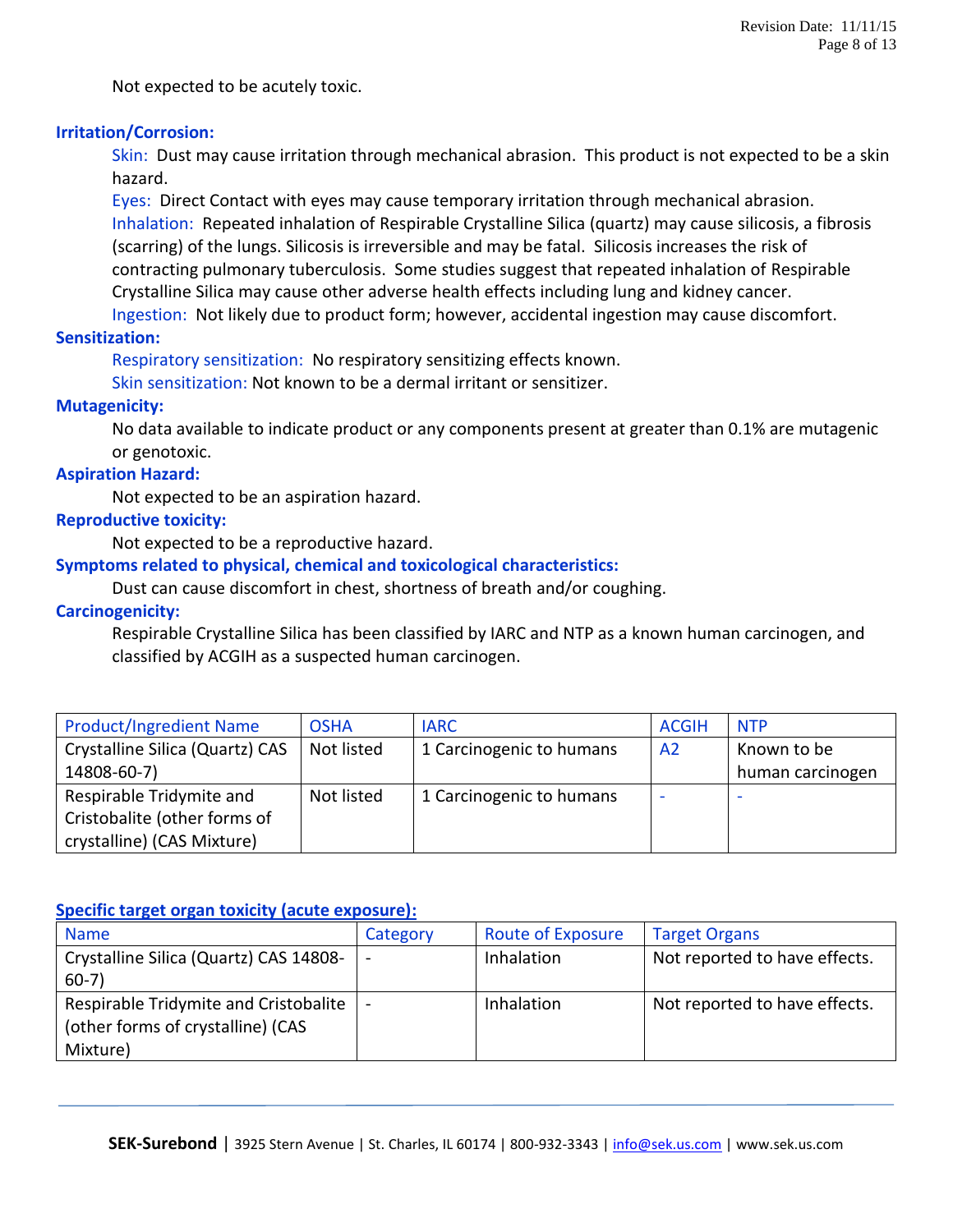Not expected to be acutely toxic.

#### **Irritation/Corrosion:**

Skin: Dust may cause irritation through mechanical abrasion. This product is not expected to be a skin hazard.

Eyes: Direct Contact with eyes may cause temporary irritation through mechanical abrasion. Inhalation: Repeated inhalation of Respirable Crystalline Silica (quartz) may cause silicosis, a fibrosis (scarring) of the lungs. Silicosis is irreversible and may be fatal. Silicosis increases the risk of contracting pulmonary tuberculosis. Some studies suggest that repeated inhalation of Respirable Crystalline Silica may cause other adverse health effects including lung and kidney cancer.

Ingestion: Not likely due to product form; however, accidental ingestion may cause discomfort.

# **Sensitization:**

Respiratory sensitization: No respiratory sensitizing effects known.

Skin sensitization: Not known to be a dermal irritant or sensitizer.

#### **Mutagenicity:**

No data available to indicate product or any components present at greater than 0.1% are mutagenic or genotoxic.

# **Aspiration Hazard:**

Not expected to be an aspiration hazard.

#### **Reproductive toxicity:**

Not expected to be a reproductive hazard.

# **Symptoms related to physical, chemical and toxicological characteristics:**

Dust can cause discomfort in chest, shortness of breath and/or coughing.

#### **Carcinogenicity:**

Respirable Crystalline Silica has been classified by IARC and NTP as a known human carcinogen, and classified by ACGIH as a suspected human carcinogen.

| <b>Product/Ingredient Name</b>  | <b>OSHA</b> | <b>IARC</b>              | <b>ACGIH</b>   | <b>NTP</b>               |
|---------------------------------|-------------|--------------------------|----------------|--------------------------|
| Crystalline Silica (Quartz) CAS | Not listed  | 1 Carcinogenic to humans | A <sub>2</sub> | Known to be              |
| 14808-60-7)                     |             |                          |                | human carcinogen         |
| Respirable Tridymite and        | Not listed  | 1 Carcinogenic to humans | -              | $\overline{\phantom{a}}$ |
| Cristobalite (other forms of    |             |                          |                |                          |
| crystalline) (CAS Mixture)      |             |                          |                |                          |

#### **Specific target organ toxicity (acute exposure):**

| <b>Name</b>                            | Category                 | <b>Route of Exposure</b> | <b>Target Organs</b>          |
|----------------------------------------|--------------------------|--------------------------|-------------------------------|
| Crystalline Silica (Quartz) CAS 14808- | $\overline{\phantom{a}}$ | Inhalation               | Not reported to have effects. |
| $60-7)$                                |                          |                          |                               |
| Respirable Tridymite and Cristobalite  |                          | Inhalation               | Not reported to have effects. |
| (other forms of crystalline) (CAS      |                          |                          |                               |
| Mixture)                               |                          |                          |                               |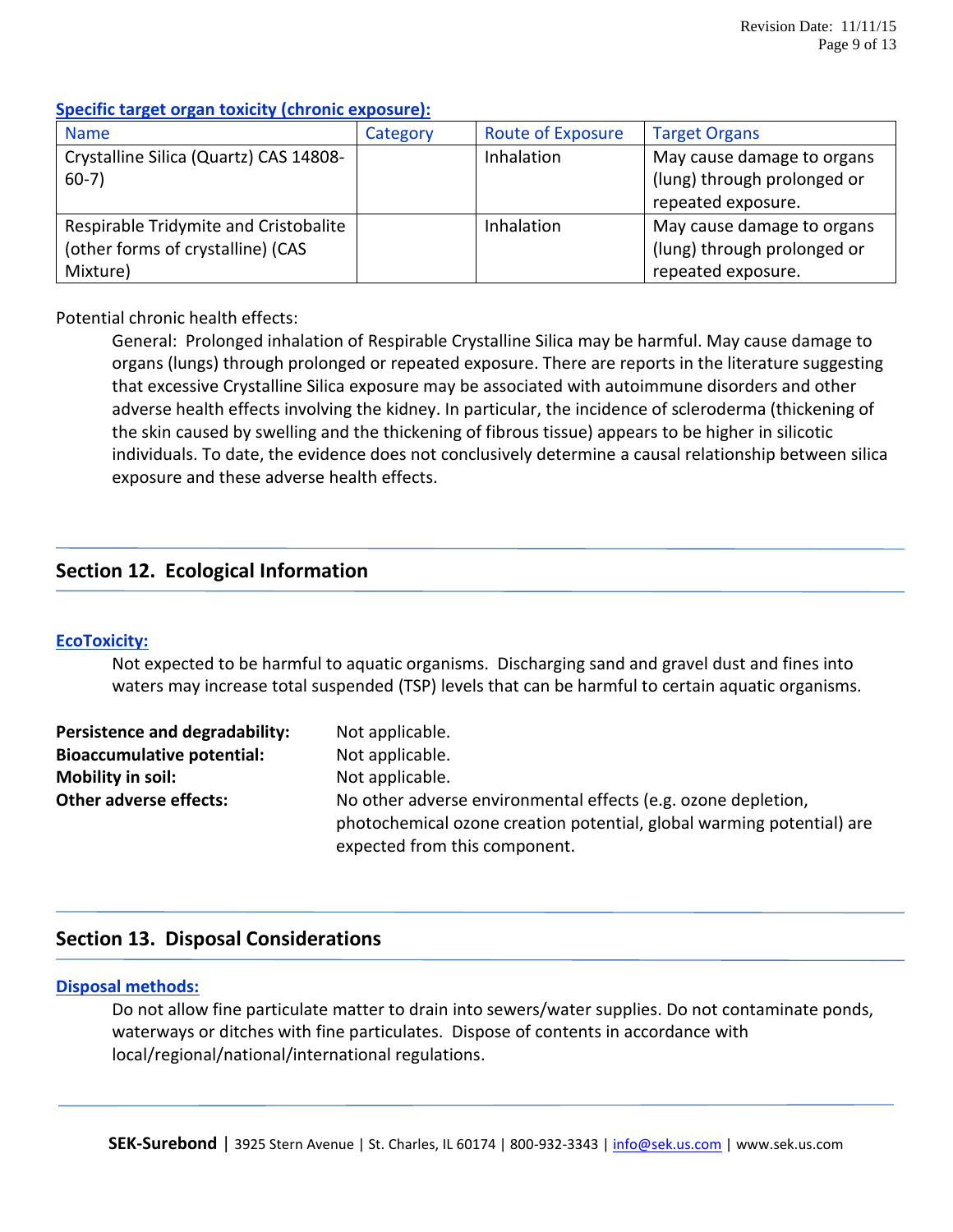# **Specific target organ toxicity (chronic exposure):**

| <b>Name</b>                            | Category | <b>Route of Exposure</b> | <b>Target Organs</b>        |
|----------------------------------------|----------|--------------------------|-----------------------------|
| Crystalline Silica (Quartz) CAS 14808- |          | <b>Inhalation</b>        | May cause damage to organs  |
| $60-7)$                                |          |                          | (lung) through prolonged or |
|                                        |          |                          | repeated exposure.          |
| Respirable Tridymite and Cristobalite  |          | <b>Inhalation</b>        | May cause damage to organs  |
| (other forms of crystalline) (CAS      |          |                          | (lung) through prolonged or |
| Mixture)                               |          |                          | repeated exposure.          |

# Potential chronic health effects:

General: Prolonged inhalation of Respirable Crystalline Silica may be harmful. May cause damage to organs (lungs) through prolonged or repeated exposure. There are reports in the literature suggesting that excessive Crystalline Silica exposure may be associated with autoimmune disorders and other adverse health effects involving the kidney. In particular, the incidence of scleroderma (thickening of the skin caused by swelling and the thickening of fibrous tissue) appears to be higher in silicotic individuals. To date, the evidence does not conclusively determine a causal relationship between silica exposure and these adverse health effects.

# **Section 12. Ecological Information**

# **EcoToxicity:**

Not expected to be harmful to aquatic organisms. Discharging sand and gravel dust and fines into waters may increase total suspended (TSP) levels that can be harmful to certain aquatic organisms.

| Persistence and degradability:    | Not applicable.                                                       |
|-----------------------------------|-----------------------------------------------------------------------|
| <b>Bioaccumulative potential:</b> | Not applicable.                                                       |
| Mobility in soil:                 | Not applicable.                                                       |
| <b>Other adverse effects:</b>     | No other adverse environmental effects (e.g. ozone depletion,         |
|                                   | photochemical ozone creation potential, global warming potential) are |
|                                   | expected from this component.                                         |

# **Section 13. Disposal Considerations**

# **Disposal methods:**

Do not allow fine particulate matter to drain into sewers/water supplies. Do not contaminate ponds, waterways or ditches with fine particulates. Dispose of contents in accordance with local/regional/national/international regulations.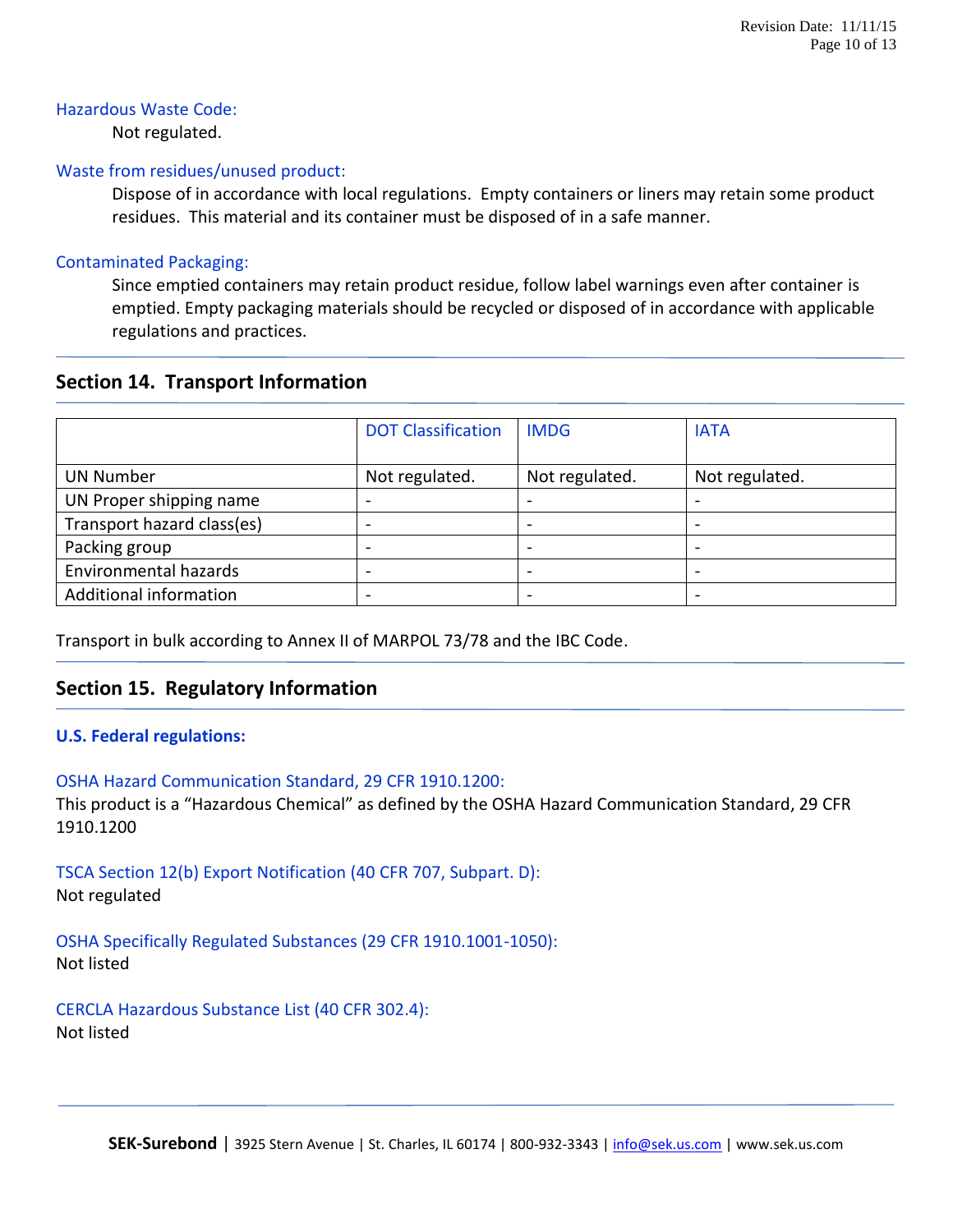#### Hazardous Waste Code:

Not regulated.

#### Waste from residues/unused product:

Dispose of in accordance with local regulations. Empty containers or liners may retain some product residues. This material and its container must be disposed of in a safe manner.

### Contaminated Packaging:

Since emptied containers may retain product residue, follow label warnings even after container is emptied. Empty packaging materials should be recycled or disposed of in accordance with applicable regulations and practices.

# **Section 14. Transport Information**

|                            | <b>DOT Classification</b> | <b>IMDG</b>    | <b>IATA</b>    |
|----------------------------|---------------------------|----------------|----------------|
| <b>UN Number</b>           | Not regulated.            | Not regulated. | Not regulated. |
| UN Proper shipping name    |                           |                |                |
| Transport hazard class(es) |                           |                |                |
| Packing group              |                           |                | -              |
| Environmental hazards      |                           |                |                |
| Additional information     |                           |                |                |

Transport in bulk according to Annex II of MARPOL 73/78 and the IBC Code.

# **Section 15. Regulatory Information**

# **U.S. Federal regulations:**

#### OSHA Hazard Communication Standard, 29 CFR 1910.1200:

This product is a "Hazardous Chemical" as defined by the OSHA Hazard Communication Standard, 29 CFR 1910.1200

TSCA Section 12(b) Export Notification (40 CFR 707, Subpart. D): Not regulated

OSHA Specifically Regulated Substances (29 CFR 1910.1001-1050): Not listed

CERCLA Hazardous Substance List (40 CFR 302.4): Not listed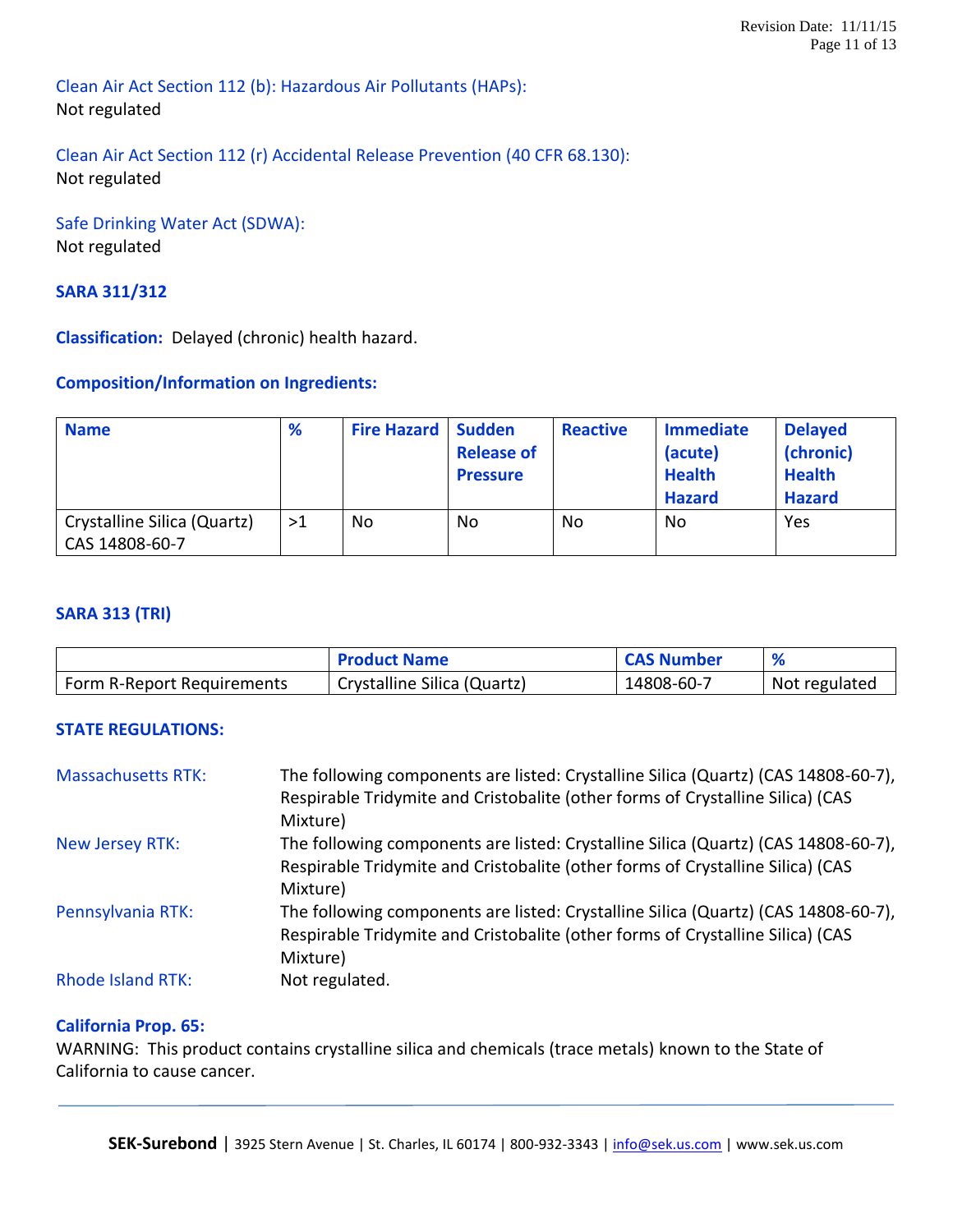Clean Air Act Section 112 (b): Hazardous Air Pollutants (HAPs): Not regulated

# Clean Air Act Section 112 (r) Accidental Release Prevention (40 CFR 68.130): Not regulated

Safe Drinking Water Act (SDWA): Not regulated

# **SARA 311/312**

**Classification:** Delayed (chronic) health hazard.

# **Composition/Information on Ingredients:**

| <b>Name</b>                                   | %  | <b>Fire Hazard   Sudden</b> | <b>Release of</b><br><b>Pressure</b> | <b>Reactive</b> | <b>Immediate</b><br>(acute)<br><b>Health</b><br><b>Hazard</b> | <b>Delayed</b><br>(chronic)<br><b>Health</b><br><b>Hazard</b> |
|-----------------------------------------------|----|-----------------------------|--------------------------------------|-----------------|---------------------------------------------------------------|---------------------------------------------------------------|
| Crystalline Silica (Quartz)<br>CAS 14808-60-7 | >1 | No.                         | No                                   | No              | No                                                            | Yes                                                           |

### **SARA 313 (TRI)**

|                            | <b>Product Name</b>         | <b>CAS Number</b> |               |
|----------------------------|-----------------------------|-------------------|---------------|
| Form R-Report Requirements | Crystalline Silica (Quartz) | 14808-60-7        | Not regulated |

# **STATE REGULATIONS:**

| <b>Massachusetts RTK:</b> | The following components are listed: Crystalline Silica (Quartz) (CAS 14808-60-7), |
|---------------------------|------------------------------------------------------------------------------------|
|                           | Respirable Tridymite and Cristobalite (other forms of Crystalline Silica) (CAS     |
|                           | Mixture)                                                                           |
| New Jersey RTK:           | The following components are listed: Crystalline Silica (Quartz) (CAS 14808-60-7), |
|                           | Respirable Tridymite and Cristobalite (other forms of Crystalline Silica) (CAS     |
|                           | Mixture)                                                                           |
| Pennsylvania RTK:         | The following components are listed: Crystalline Silica (Quartz) (CAS 14808-60-7), |
|                           | Respirable Tridymite and Cristobalite (other forms of Crystalline Silica) (CAS     |
|                           | Mixture)                                                                           |
| <b>Rhode Island RTK:</b>  | Not regulated.                                                                     |

# **California Prop. 65:**

WARNING: This product contains crystalline silica and chemicals (trace metals) known to the State of California to cause cancer.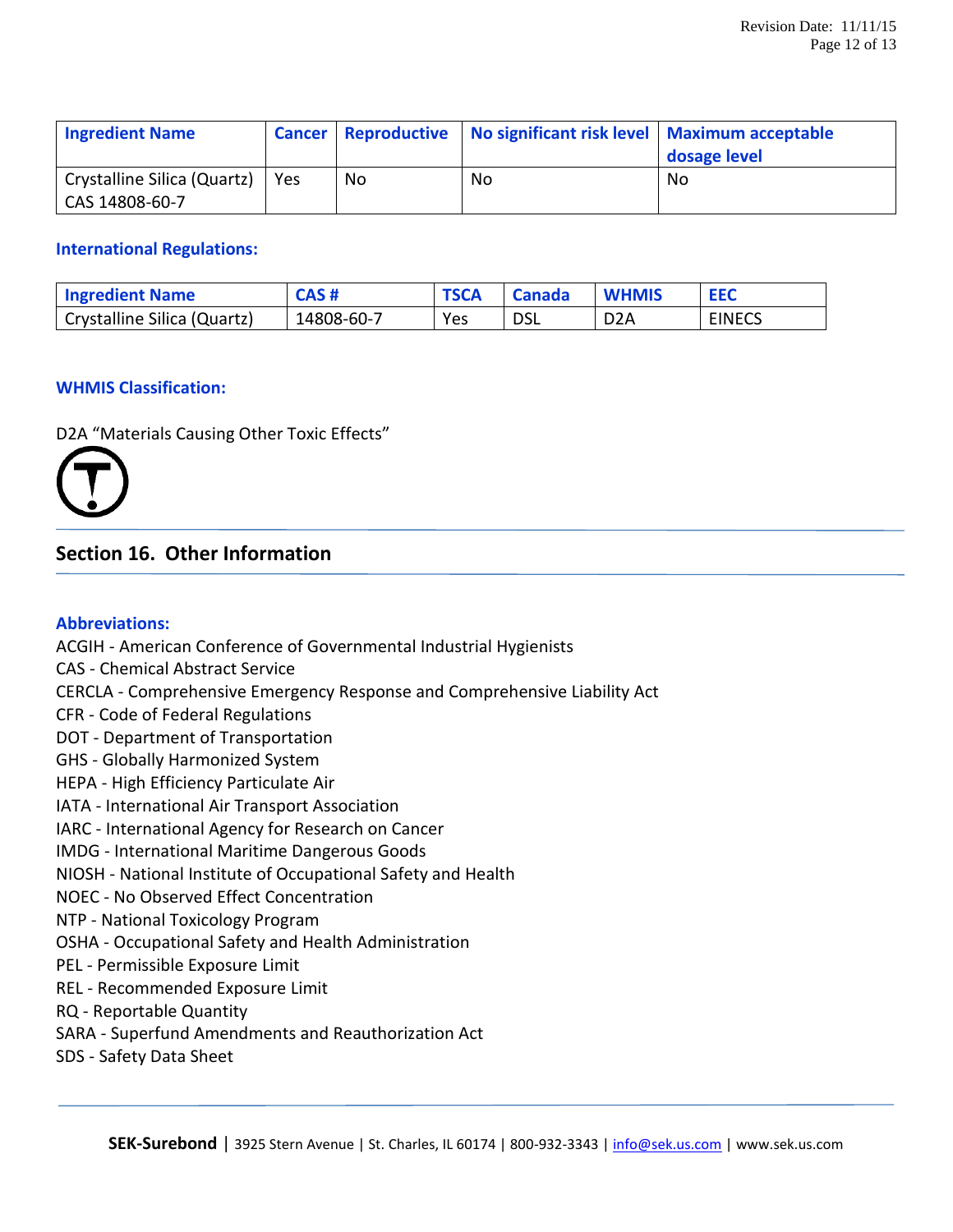| <b>Ingredient Name</b>                        |     |    | Cancer   Reproductive   No significant risk level   Maximum acceptable | dosage level |
|-----------------------------------------------|-----|----|------------------------------------------------------------------------|--------------|
| Crystalline Silica (Quartz)<br>CAS 14808-60-7 | Yes | No | No                                                                     | No           |

#### **International Regulations:**

| <b>Ingredient Name</b>      | CAS#       | <b>TSCA</b> | <b>Canada</b> | <b>WHMIS</b>     | <b>EEC</b>    |
|-----------------------------|------------|-------------|---------------|------------------|---------------|
| Crystalline Silica (Quartz) | 14808-60-7 | Yes         | <b>DSL</b>    | D <sub>2</sub> A | <b>EINECS</b> |

#### **WHMIS Classification:**

D2A "Materials Causing Other Toxic Effects"



# **Section 16. Other Information**

#### **Abbreviations:**

ACGIH - American Conference of Governmental Industrial Hygienists CAS - Chemical Abstract Service CERCLA - Comprehensive Emergency Response and Comprehensive Liability Act CFR - Code of Federal Regulations DOT - Department of Transportation GHS - Globally Harmonized System HEPA - High Efficiency Particulate Air IATA - International Air Transport Association IARC - International Agency for Research on Cancer IMDG - International Maritime Dangerous Goods NIOSH - National Institute of Occupational Safety and Health NOEC - No Observed Effect Concentration NTP - National Toxicology Program OSHA - Occupational Safety and Health Administration PEL - Permissible Exposure Limit REL - Recommended Exposure Limit RQ - Reportable Quantity SARA - Superfund Amendments and Reauthorization Act SDS - Safety Data Sheet